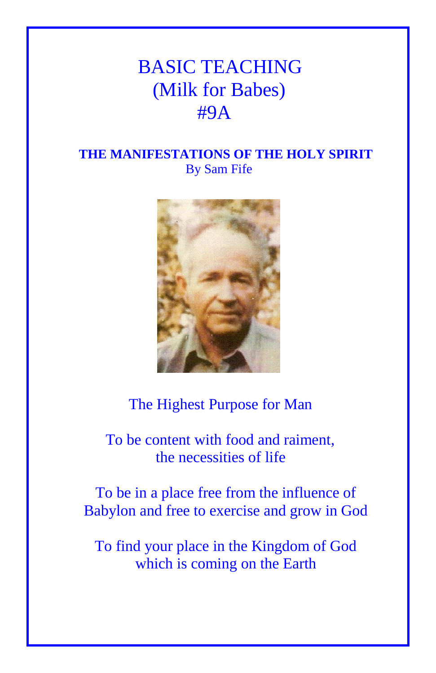# BASIC TEACHING (Milk for Babes) #9A

## **THE MANIFESTATIONS OF THE HOLY SPIRIT** By Sam Fife



# The Highest Purpose for Man

 To be content with food and raiment, the necessities of life

To be in a place free from the influence of Babylon and free to exercise and grow in God

To find your place in the Kingdom of God which is coming on the Earth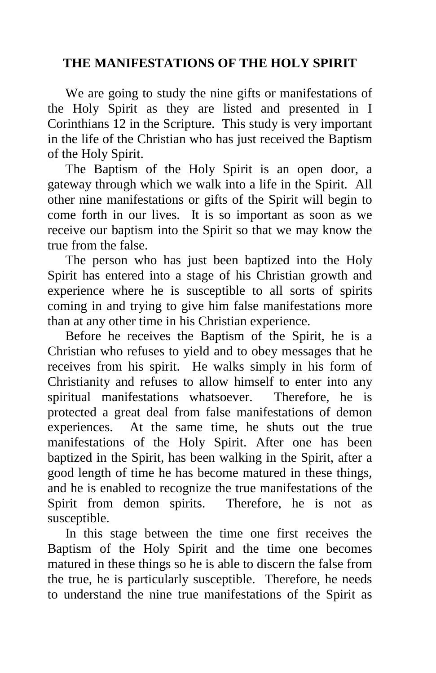#### **THE MANIFESTATIONS OF THE HOLY SPIRIT**

 We are going to study the nine gifts or manifestations of the Holy Spirit as they are listed and presented in I Corinthians 12 in the Scripture. This study is very important in the life of the Christian who has just received the Baptism of the Holy Spirit.

 The Baptism of the Holy Spirit is an open door, a gateway through which we walk into a life in the Spirit. All other nine manifestations or gifts of the Spirit will begin to come forth in our lives. It is so important as soon as we receive our baptism into the Spirit so that we may know the true from the false.

 The person who has just been baptized into the Holy Spirit has entered into a stage of his Christian growth and experience where he is susceptible to all sorts of spirits coming in and trying to give him false manifestations more than at any other time in his Christian experience.

 Before he receives the Baptism of the Spirit, he is a Christian who refuses to yield and to obey messages that he receives from his spirit. He walks simply in his form of Christianity and refuses to allow himself to enter into any spiritual manifestations whatsoever. Therefore, he is protected a great deal from false manifestations of demon experiences. At the same time, he shuts out the true manifestations of the Holy Spirit. After one has been baptized in the Spirit, has been walking in the Spirit, after a good length of time he has become matured in these things, and he is enabled to recognize the true manifestations of the Spirit from demon spirits. Therefore, he is not as susceptible.

 In this stage between the time one first receives the Baptism of the Holy Spirit and the time one becomes matured in these things so he is able to discern the false from the true, he is particularly susceptible. Therefore, he needs to understand the nine true manifestations of the Spirit as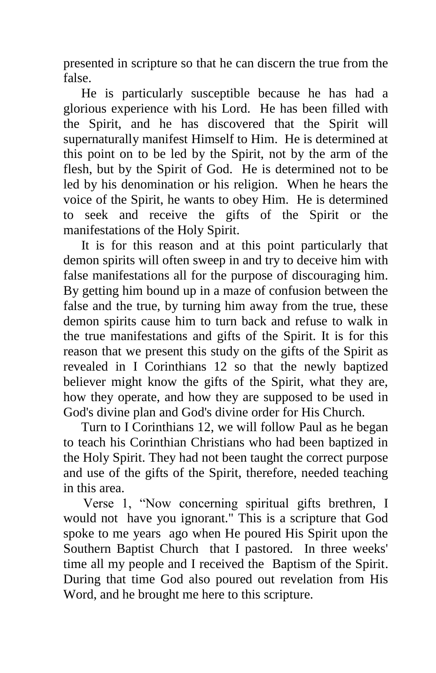presented in scripture so that he can discern the true from the false.

 He is particularly susceptible because he has had a glorious experience with his Lord. He has been filled with the Spirit, and he has discovered that the Spirit will supernaturally manifest Himself to Him. He is determined at this point on to be led by the Spirit, not by the arm of the flesh, but by the Spirit of God. He is determined not to be led by his denomination or his religion. When he hears the voice of the Spirit, he wants to obey Him. He is determined to seek and receive the gifts of the Spirit or the manifestations of the Holy Spirit.

 It is for this reason and at this point particularly that demon spirits will often sweep in and try to deceive him with false manifestations all for the purpose of discouraging him. By getting him bound up in a maze of confusion between the false and the true, by turning him away from the true, these demon spirits cause him to turn back and refuse to walk in the true manifestations and gifts of the Spirit. It is for this reason that we present this study on the gifts of the Spirit as revealed in I Corinthians 12 so that the newly baptized believer might know the gifts of the Spirit, what they are, how they operate, and how they are supposed to be used in God's divine plan and God's divine order for His Church.

 Turn to I Corinthians 12, we will follow Paul as he began to teach his Corinthian Christians who had been baptized in the Holy Spirit. They had not been taught the correct purpose and use of the gifts of the Spirit, therefore, needed teaching in this area.

 Verse 1, "Now concerning spiritual gifts brethren, I would not have you ignorant." This is a scripture that God spoke to me years ago when He poured His Spirit upon the Southern Baptist Church that I pastored. In three weeks' time all my people and I received the Baptism of the Spirit. During that time God also poured out revelation from His Word, and he brought me here to this scripture.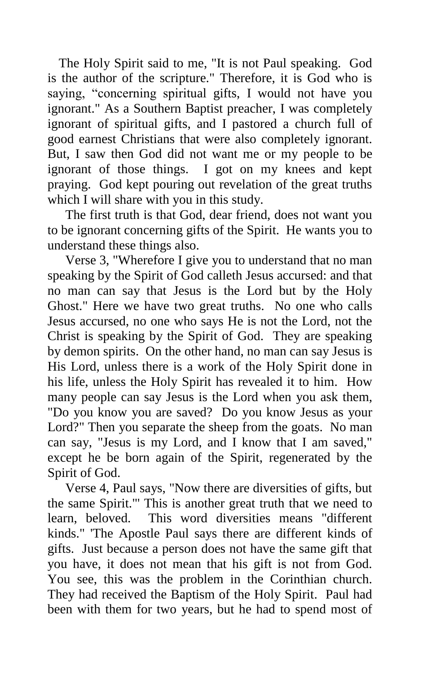The Holy Spirit said to me, "It is not Paul speaking. God is the author of the scripture." Therefore, it is God who is saying, "concerning spiritual gifts, I would not have you ignorant." As a Southern Baptist preacher, I was completely ignorant of spiritual gifts, and I pastored a church full of good earnest Christians that were also completely ignorant. But, I saw then God did not want me or my people to be ignorant of those things. I got on my knees and kept praying. God kept pouring out revelation of the great truths which I will share with you in this study.

 The first truth is that God, dear friend, does not want you to be ignorant concerning gifts of the Spirit. He wants you to understand these things also.

 Verse 3, "Wherefore I give you to understand that no man speaking by the Spirit of God calleth Jesus accursed: and that no man can say that Jesus is the Lord but by the Holy Ghost." Here we have two great truths. No one who calls Jesus accursed, no one who says He is not the Lord, not the Christ is speaking by the Spirit of God. They are speaking by demon spirits. On the other hand, no man can say Jesus is His Lord, unless there is a work of the Holy Spirit done in his life, unless the Holy Spirit has revealed it to him. How many people can say Jesus is the Lord when you ask them, "Do you know you are saved? Do you know Jesus as your Lord?" Then you separate the sheep from the goats. No man can say, "Jesus is my Lord, and I know that I am saved," except he be born again of the Spirit, regenerated by the Spirit of God.

 Verse 4, Paul says, "Now there are diversities of gifts, but the same Spirit."' This is another great truth that we need to learn, beloved. This word diversities means "different kinds." 'The Apostle Paul says there are different kinds of gifts. Just because a person does not have the same gift that you have, it does not mean that his gift is not from God. You see, this was the problem in the Corinthian church. They had received the Baptism of the Holy Spirit. Paul had been with them for two years, but he had to spend most of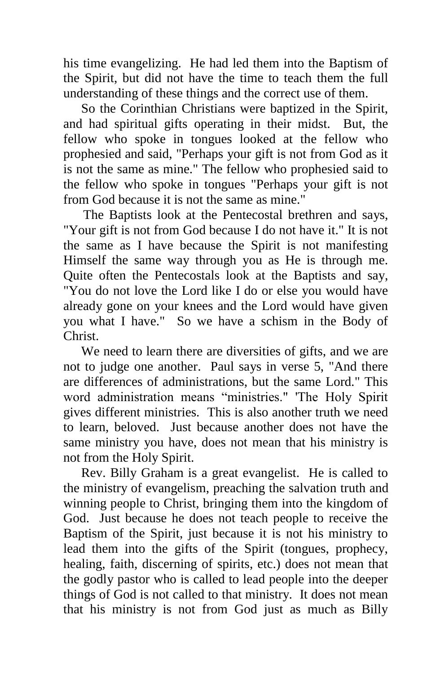his time evangelizing. He had led them into the Baptism of the Spirit, but did not have the time to teach them the full understanding of these things and the correct use of them.

 So the Corinthian Christians were baptized in the Spirit, and had spiritual gifts operating in their midst. But, the fellow who spoke in tongues looked at the fellow who prophesied and said, "Perhaps your gift is not from God as it is not the same as mine." The fellow who prophesied said to the fellow who spoke in tongues "Perhaps your gift is not from God because it is not the same as mine."

 The Baptists look at the Pentecostal brethren and says, "Your gift is not from God because I do not have it." It is not the same as I have because the Spirit is not manifesting Himself the same way through you as He is through me. Quite often the Pentecostals look at the Baptists and say, "You do not love the Lord like I do or else you would have already gone on your knees and the Lord would have given you what I have." So we have a schism in the Body of Christ.

 We need to learn there are diversities of gifts, and we are not to judge one another. Paul says in verse 5, "And there are differences of administrations, but the same Lord." This word administration means "ministries." 'The Holy Spirit gives different ministries. This is also another truth we need to learn, beloved. Just because another does not have the same ministry you have, does not mean that his ministry is not from the Holy Spirit.

 Rev. Billy Graham is a great evangelist. He is called to the ministry of evangelism, preaching the salvation truth and winning people to Christ, bringing them into the kingdom of God. Just because he does not teach people to receive the Baptism of the Spirit, just because it is not his ministry to lead them into the gifts of the Spirit (tongues, prophecy, healing, faith, discerning of spirits, etc.) does not mean that the godly pastor who is called to lead people into the deeper things of God is not called to that ministry. It does not mean that his ministry is not from God just as much as Billy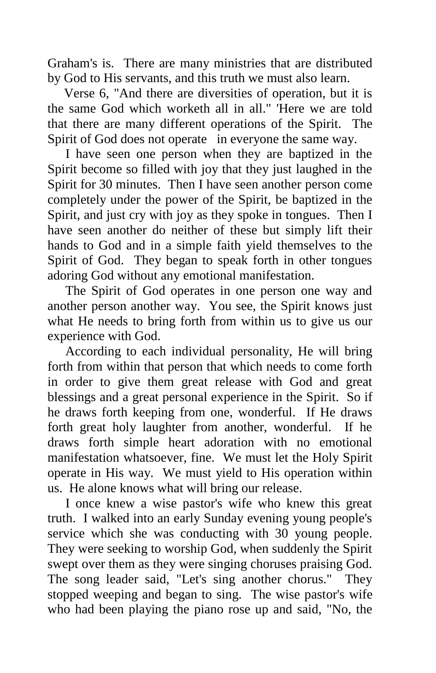Graham's is. There are many ministries that are distributed by God to His servants, and this truth we must also learn.

 Verse 6, "And there are diversities of operation, but it is the same God which worketh all in all." 'Here we are told that there are many different operations of the Spirit. The Spirit of God does not operate in everyone the same way.

 I have seen one person when they are baptized in the Spirit become so filled with joy that they just laughed in the Spirit for 30 minutes. Then I have seen another person come completely under the power of the Spirit, be baptized in the Spirit, and just cry with joy as they spoke in tongues. Then I have seen another do neither of these but simply lift their hands to God and in a simple faith yield themselves to the Spirit of God. They began to speak forth in other tongues adoring God without any emotional manifestation.

 The Spirit of God operates in one person one way and another person another way. You see, the Spirit knows just what He needs to bring forth from within us to give us our experience with God.

 According to each individual personality, He will bring forth from within that person that which needs to come forth in order to give them great release with God and great blessings and a great personal experience in the Spirit. So if he draws forth keeping from one, wonderful. If He draws forth great holy laughter from another, wonderful. If he draws forth simple heart adoration with no emotional manifestation whatsoever, fine. We must let the Holy Spirit operate in His way. We must yield to His operation within us. He alone knows what will bring our release.

 I once knew a wise pastor's wife who knew this great truth. I walked into an early Sunday evening young people's service which she was conducting with 30 young people. They were seeking to worship God, when suddenly the Spirit swept over them as they were singing choruses praising God. The song leader said, "Let's sing another chorus." They stopped weeping and began to sing. The wise pastor's wife who had been playing the piano rose up and said, "No, the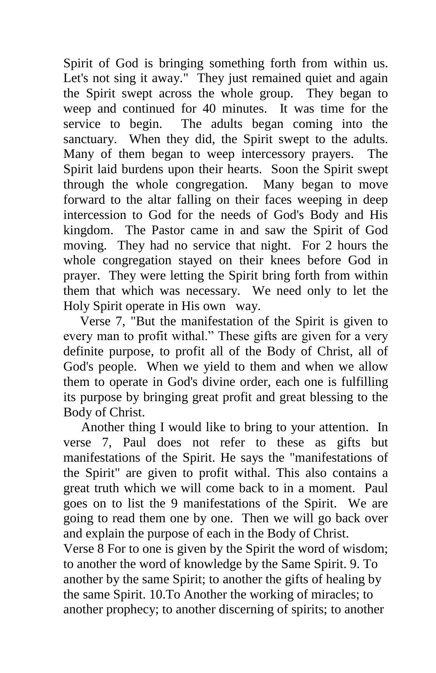Spirit of God is bringing something forth from within us. Let's not sing it away." They just remained quiet and again the Spirit swept across the whole group. They began to weep and continued for 40 minutes. It was time for the service to begin. The adults began coming into the sanctuary. When they did, the Spirit swept to the adults. Many of them began to weep intercessory prayers. The Spirit laid burdens upon their hearts. Soon the Spirit swept through the whole congregation. Many began to move forward to the altar falling on their faces weeping in deep intercession to God for the needs of God's Body and His kingdom. The Pastor came in and saw the Spirit of God moving. They had no service that night. For 2 hours the whole congregation stayed on their knees before God in prayer. They were letting the Spirit bring forth from within them that which was necessary. We need only to let the Holy Spirit operate in His own way.

 Verse 7, "But the manifestation of the Spirit is given to every man to profit withal." These gifts are given for a very definite purpose, to profit all of the Body of Christ, all of God's people. When we yield to them and when we allow them to operate in God's divine order, each one is fulfilling its purpose by bringing great profit and great blessing to the Body of Christ.

 Another thing I would like to bring to your attention. In verse 7, Paul does not refer to these as gifts but manifestations of the Spirit. He says the "manifestations of the Spirit" are given to profit withal. This also contains a great truth which we will come back to in a moment. Paul goes on to list the 9 manifestations of the Spirit. We are going to read them one by one. Then we will go back over and explain the purpose of each in the Body of Christ.

Verse 8 For to one is given by the Spirit the word of wisdom; to another the word of knowledge by the Same Spirit. 9. To another by the same Spirit; to another the gifts of healing by the same Spirit. 10.To Another the working of miracles; to another prophecy; to another discerning of spirits; to another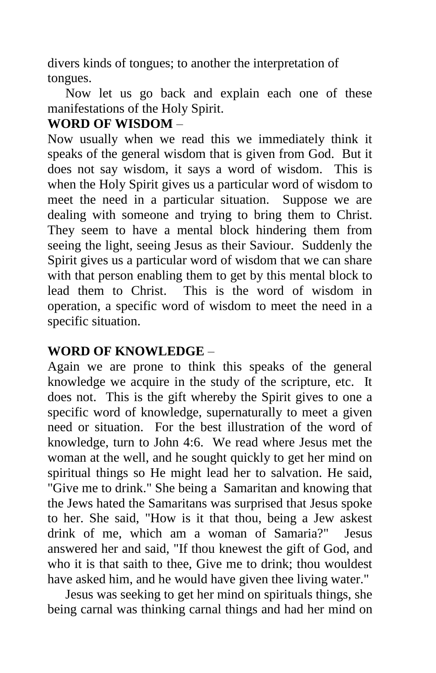divers kinds of tongues; to another the interpretation of tongues.

 Now let us go back and explain each one of these manifestations of the Holy Spirit.

# **WORD OF WISDOM** –

Now usually when we read this we immediately think it speaks of the general wisdom that is given from God. But it does not say wisdom, it says a word of wisdom. This is when the Holy Spirit gives us a particular word of wisdom to meet the need in a particular situation. Suppose we are dealing with someone and trying to bring them to Christ. They seem to have a mental block hindering them from seeing the light, seeing Jesus as their Saviour. Suddenly the Spirit gives us a particular word of wisdom that we can share with that person enabling them to get by this mental block to lead them to Christ. This is the word of wisdom in operation, a specific word of wisdom to meet the need in a specific situation.

# **WORD OF KNOWLEDGE** –

Again we are prone to think this speaks of the general knowledge we acquire in the study of the scripture, etc. It does not. This is the gift whereby the Spirit gives to one a specific word of knowledge, supernaturally to meet a given need or situation. For the best illustration of the word of knowledge, turn to John 4:6. We read where Jesus met the woman at the well, and he sought quickly to get her mind on spiritual things so He might lead her to salvation. He said, "Give me to drink." She being a Samaritan and knowing that the Jews hated the Samaritans was surprised that Jesus spoke to her. She said, "How is it that thou, being a Jew askest drink of me, which am a woman of Samaria?" Jesus answered her and said, "If thou knewest the gift of God, and who it is that saith to thee, Give me to drink; thou wouldest have asked him, and he would have given thee living water."

 Jesus was seeking to get her mind on spirituals things, she being carnal was thinking carnal things and had her mind on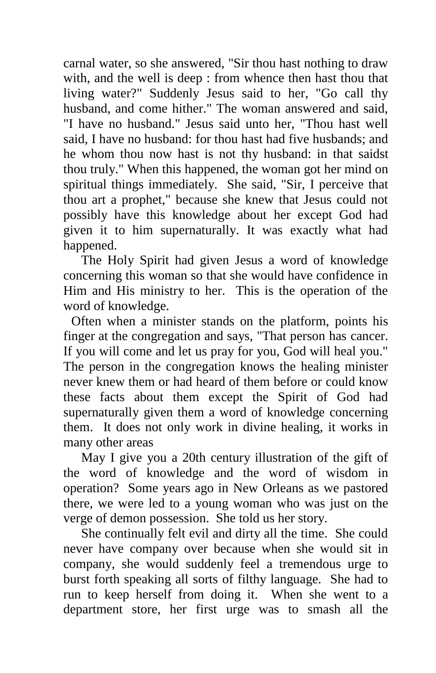carnal water, so she answered, "Sir thou hast nothing to draw with, and the well is deep : from whence then hast thou that living water?" Suddenly Jesus said to her, "Go call thy husband, and come hither." The woman answered and said, "I have no husband." Jesus said unto her, "Thou hast well said, I have no husband: for thou hast had five husbands; and he whom thou now hast is not thy husband: in that saidst thou truly." When this happened, the woman got her mind on spiritual things immediately. She said, "Sir, I perceive that thou art a prophet," because she knew that Jesus could not possibly have this knowledge about her except God had given it to him supernaturally. It was exactly what had happened.

 The Holy Spirit had given Jesus a word of knowledge concerning this woman so that she would have confidence in Him and His ministry to her. This is the operation of the word of knowledge.

Often when a minister stands on the platform, points his finger at the congregation and says, "That person has cancer. If you will come and let us pray for you, God will heal you." The person in the congregation knows the healing minister never knew them or had heard of them before or could know these facts about them except the Spirit of God had supernaturally given them a word of knowledge concerning them. It does not only work in divine healing, it works in many other areas

 May I give you a 20th century illustration of the gift of the word of knowledge and the word of wisdom in operation? Some years ago in New Orleans as we pastored there, we were led to a young woman who was just on the verge of demon possession. She told us her story.

 She continually felt evil and dirty all the time. She could never have company over because when she would sit in company, she would suddenly feel a tremendous urge to burst forth speaking all sorts of filthy language. She had to run to keep herself from doing it. When she went to a department store, her first urge was to smash all the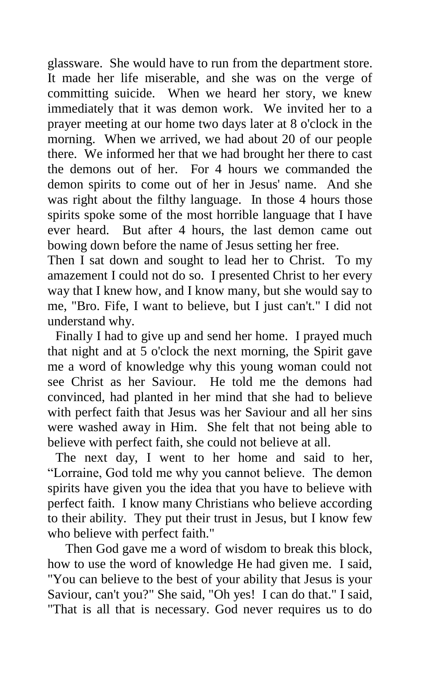glassware. She would have to run from the department store. It made her life miserable, and she was on the verge of committing suicide. When we heard her story, we knew immediately that it was demon work. We invited her to a prayer meeting at our home two days later at 8 o'clock in the morning. When we arrived, we had about 20 of our people there. We informed her that we had brought her there to cast the demons out of her. For 4 hours we commanded the demon spirits to come out of her in Jesus' name. And she was right about the filthy language. In those 4 hours those spirits spoke some of the most horrible language that I have ever heard. But after 4 hours, the last demon came out bowing down before the name of Jesus setting her free.

Then I sat down and sought to lead her to Christ. To my amazement I could not do so. I presented Christ to her every way that I knew how, and I know many, but she would say to me, "Bro. Fife, I want to believe, but I just can't." I did not understand why.

Finally I had to give up and send her home. I prayed much that night and at 5 o'clock the next morning, the Spirit gave me a word of knowledge why this young woman could not see Christ as her Saviour. He told me the demons had convinced, had planted in her mind that she had to believe with perfect faith that Jesus was her Saviour and all her sins were washed away in Him. She felt that not being able to believe with perfect faith, she could not believe at all.

The next day, I went to her home and said to her, "Lorraine, God told me why you cannot believe. The demon spirits have given you the idea that you have to believe with perfect faith. I know many Christians who believe according to their ability. They put their trust in Jesus, but I know few who believe with perfect faith."

 Then God gave me a word of wisdom to break this block, how to use the word of knowledge He had given me. I said, "You can believe to the best of your ability that Jesus is your Saviour, can't you?" She said, "Oh yes! I can do that." I said, "That is all that is necessary. God never requires us to do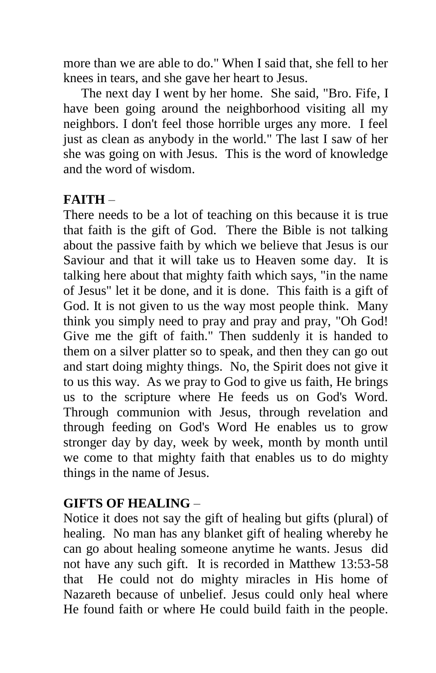more than we are able to do." When I said that, she fell to her knees in tears, and she gave her heart to Jesus.

 The next day I went by her home. She said, "Bro. Fife, I have been going around the neighborhood visiting all my neighbors. I don't feel those horrible urges any more. I feel just as clean as anybody in the world." The last I saw of her she was going on with Jesus. This is the word of knowledge and the word of wisdom.

## **FAITH** –

There needs to be a lot of teaching on this because it is true that faith is the gift of God. There the Bible is not talking about the passive faith by which we believe that Jesus is our Saviour and that it will take us to Heaven some day. It is talking here about that mighty faith which says, "in the name of Jesus" let it be done, and it is done. This faith is a gift of God. It is not given to us the way most people think. Many think you simply need to pray and pray and pray, "Oh God! Give me the gift of faith." Then suddenly it is handed to them on a silver platter so to speak, and then they can go out and start doing mighty things. No, the Spirit does not give it to us this way. As we pray to God to give us faith, He brings us to the scripture where He feeds us on God's Word. Through communion with Jesus, through revelation and through feeding on God's Word He enables us to grow stronger day by day, week by week, month by month until we come to that mighty faith that enables us to do mighty things in the name of Jesus.

# **GIFTS OF HEALING** –

Notice it does not say the gift of healing but gifts (plural) of healing. No man has any blanket gift of healing whereby he can go about healing someone anytime he wants. Jesus did not have any such gift. It is recorded in Matthew 13:53-58 that He could not do mighty miracles in His home of Nazareth because of unbelief. Jesus could only heal where He found faith or where He could build faith in the people.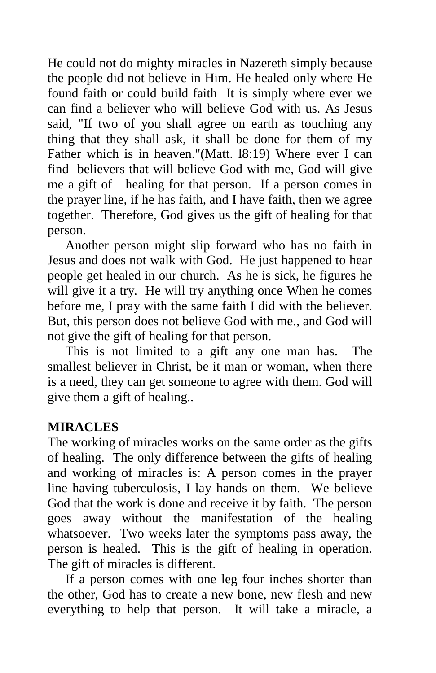He could not do mighty miracles in Nazereth simply because the people did not believe in Him. He healed only where He found faith or could build faith It is simply where ever we can find a believer who will believe God with us. As Jesus said, "If two of you shall agree on earth as touching any thing that they shall ask, it shall be done for them of my Father which is in heaven."(Matt. l8:19) Where ever I can find believers that will believe God with me, God will give me a gift of healing for that person. If a person comes in the prayer line, if he has faith, and I have faith, then we agree together. Therefore, God gives us the gift of healing for that person.

 Another person might slip forward who has no faith in Jesus and does not walk with God. He just happened to hear people get healed in our church. As he is sick, he figures he will give it a try. He will try anything once When he comes before me, I pray with the same faith I did with the believer. But, this person does not believe God with me., and God will not give the gift of healing for that person.

 This is not limited to a gift any one man has. The smallest believer in Christ, be it man or woman, when there is a need, they can get someone to agree with them. God will give them a gift of healing..

#### **MIRACLES** –

The working of miracles works on the same order as the gifts of healing. The only difference between the gifts of healing and working of miracles is: A person comes in the prayer line having tuberculosis, I lay hands on them. We believe God that the work is done and receive it by faith. The person goes away without the manifestation of the healing whatsoever. Two weeks later the symptoms pass away, the person is healed. This is the gift of healing in operation. The gift of miracles is different.

 If a person comes with one leg four inches shorter than the other, God has to create a new bone, new flesh and new everything to help that person. It will take a miracle, a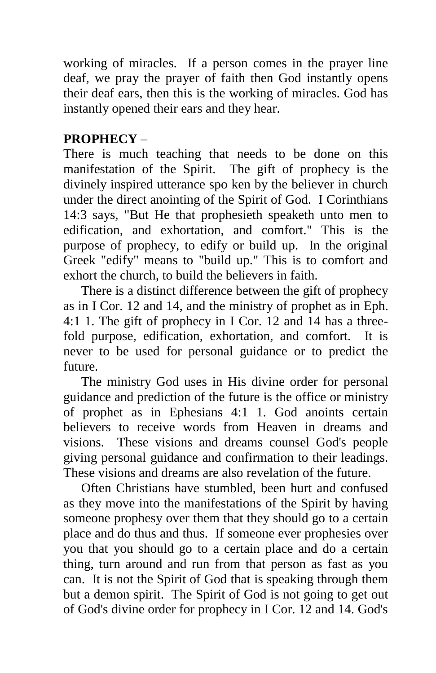working of miracles. If a person comes in the prayer line deaf, we pray the prayer of faith then God instantly opens their deaf ears, then this is the working of miracles. God has instantly opened their ears and they hear.

# **PROPHECY** –

There is much teaching that needs to be done on this manifestation of the Spirit. The gift of prophecy is the divinely inspired utterance spo ken by the believer in church under the direct anointing of the Spirit of God. I Corinthians 14:3 says, "But He that prophesieth speaketh unto men to edification, and exhortation, and comfort." This is the purpose of prophecy, to edify or build up. In the original Greek "edify" means to "build up." This is to comfort and exhort the church, to build the believers in faith.

 There is a distinct difference between the gift of prophecy as in I Cor. 12 and 14, and the ministry of prophet as in Eph. 4:1 1. The gift of prophecy in I Cor. 12 and 14 has a threefold purpose, edification, exhortation, and comfort. It is never to be used for personal guidance or to predict the future.

 The ministry God uses in His divine order for personal guidance and prediction of the future is the office or ministry of prophet as in Ephesians 4:1 1. God anoints certain believers to receive words from Heaven in dreams and visions. These visions and dreams counsel God's people giving personal guidance and confirmation to their leadings. These visions and dreams are also revelation of the future.

 Often Christians have stumbled, been hurt and confused as they move into the manifestations of the Spirit by having someone prophesy over them that they should go to a certain place and do thus and thus. If someone ever prophesies over you that you should go to a certain place and do a certain thing, turn around and run from that person as fast as you can. It is not the Spirit of God that is speaking through them but a demon spirit. The Spirit of God is not going to get out of God's divine order for prophecy in I Cor. 12 and 14. God's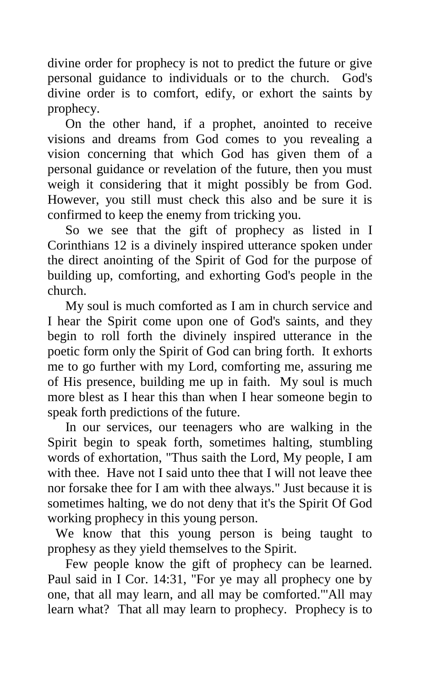divine order for prophecy is not to predict the future or give personal guidance to individuals or to the church. God's divine order is to comfort, edify, or exhort the saints by prophecy.

 On the other hand, if a prophet, anointed to receive visions and dreams from God comes to you revealing a vision concerning that which God has given them of a personal guidance or revelation of the future, then you must weigh it considering that it might possibly be from God. However, you still must check this also and be sure it is confirmed to keep the enemy from tricking you.

 So we see that the gift of prophecy as listed in I Corinthians 12 is a divinely inspired utterance spoken under the direct anointing of the Spirit of God for the purpose of building up, comforting, and exhorting God's people in the church.

 My soul is much comforted as I am in church service and I hear the Spirit come upon one of God's saints, and they begin to roll forth the divinely inspired utterance in the poetic form only the Spirit of God can bring forth. It exhorts me to go further with my Lord, comforting me, assuring me of His presence, building me up in faith. My soul is much more blest as I hear this than when I hear someone begin to speak forth predictions of the future.

 In our services, our teenagers who are walking in the Spirit begin to speak forth, sometimes halting, stumbling words of exhortation, "Thus saith the Lord, My people, I am with thee. Have not I said unto thee that I will not leave thee nor forsake thee for I am with thee always." Just because it is sometimes halting, we do not deny that it's the Spirit Of God working prophecy in this young person.

We know that this young person is being taught to prophesy as they yield themselves to the Spirit.

 Few people know the gift of prophecy can be learned. Paul said in I Cor. 14:31, "For ye may all prophecy one by one, that all may learn, and all may be comforted."'All may learn what? That all may learn to prophecy. Prophecy is to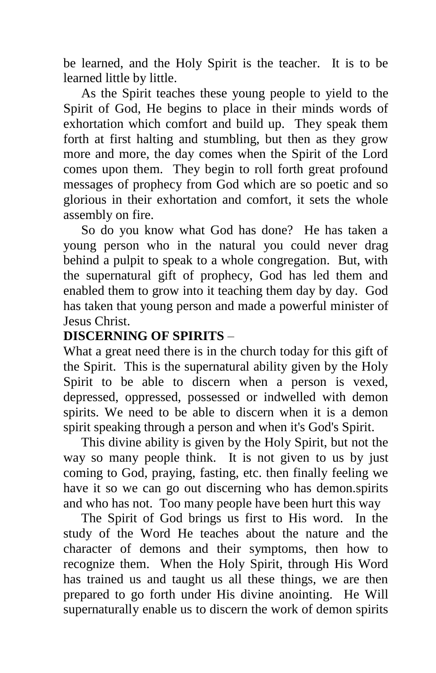be learned, and the Holy Spirit is the teacher. It is to be learned little by little.

 As the Spirit teaches these young people to yield to the Spirit of God, He begins to place in their minds words of exhortation which comfort and build up. They speak them forth at first halting and stumbling, but then as they grow more and more, the day comes when the Spirit of the Lord comes upon them. They begin to roll forth great profound messages of prophecy from God which are so poetic and so glorious in their exhortation and comfort, it sets the whole assembly on fire.

 So do you know what God has done? He has taken a young person who in the natural you could never drag behind a pulpit to speak to a whole congregation. But, with the supernatural gift of prophecy, God has led them and enabled them to grow into it teaching them day by day. God has taken that young person and made a powerful minister of Jesus Christ.

#### **DISCERNING OF SPIRITS** –

What a great need there is in the church today for this gift of the Spirit. This is the supernatural ability given by the Holy Spirit to be able to discern when a person is vexed, depressed, oppressed, possessed or indwelled with demon spirits. We need to be able to discern when it is a demon spirit speaking through a person and when it's God's Spirit.

 This divine ability is given by the Holy Spirit, but not the way so many people think. It is not given to us by just coming to God, praying, fasting, etc. then finally feeling we have it so we can go out discerning who has demon.spirits and who has not. Too many people have been hurt this way

 The Spirit of God brings us first to His word. In the study of the Word He teaches about the nature and the character of demons and their symptoms, then how to recognize them. When the Holy Spirit, through His Word has trained us and taught us all these things, we are then prepared to go forth under His divine anointing. He Will supernaturally enable us to discern the work of demon spirits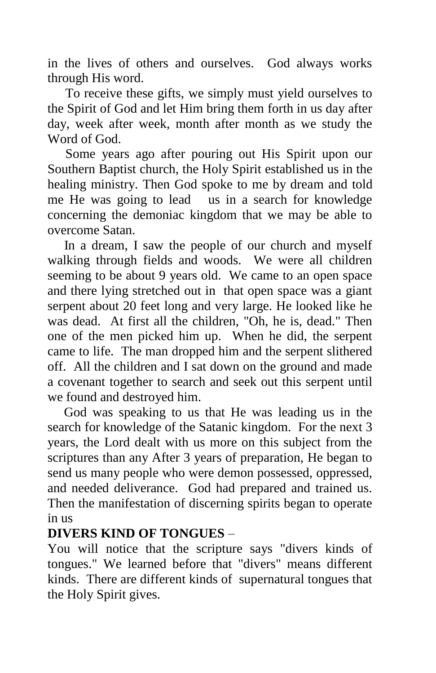in the lives of others and ourselves. God always works through His word.

 To receive these gifts, we simply must yield ourselves to the Spirit of God and let Him bring them forth in us day after day, week after week, month after month as we study the Word of God.

 Some years ago after pouring out His Spirit upon our Southern Baptist church, the Holy Spirit established us in the healing ministry. Then God spoke to me by dream and told me He was going to lead us in a search for knowledge concerning the demoniac kingdom that we may be able to overcome Satan.

 In a dream, I saw the people of our church and myself walking through fields and woods. We were all children seeming to be about 9 years old. We came to an open space and there lying stretched out in that open space was a giant serpent about 20 feet long and very large. He looked like he was dead. At first all the children, "Oh, he is, dead." Then one of the men picked him up. When he did, the serpent came to life. The man dropped him and the serpent slithered off. All the children and I sat down on the ground and made a covenant together to search and seek out this serpent until we found and destroyed him.

 God was speaking to us that He was leading us in the search for knowledge of the Satanic kingdom. For the next 3 years, the Lord dealt with us more on this subject from the scriptures than any After 3 years of preparation, He began to send us many people who were demon possessed, oppressed, and needed deliverance. God had prepared and trained us. Then the manifestation of discerning spirits began to operate in us

## **DIVERS KIND OF TONGUES** –

You will notice that the scripture says "divers kinds of tongues." We learned before that "divers" means different kinds. There are different kinds of supernatural tongues that the Holy Spirit gives.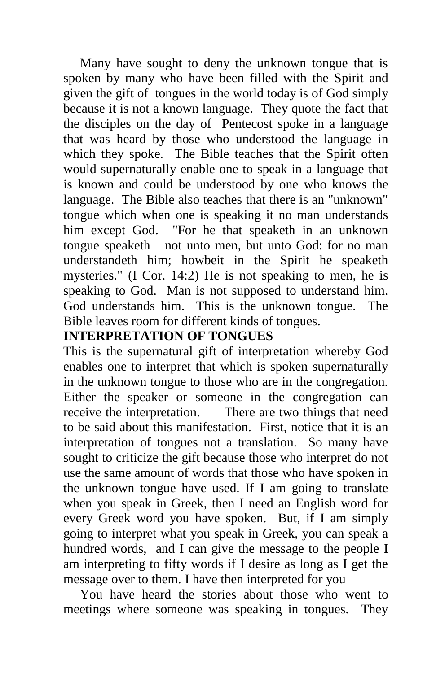Many have sought to deny the unknown tongue that is spoken by many who have been filled with the Spirit and given the gift of tongues in the world today is of God simply because it is not a known language. They quote the fact that the disciples on the day of Pentecost spoke in a language that was heard by those who understood the language in which they spoke. The Bible teaches that the Spirit often would supernaturally enable one to speak in a language that is known and could be understood by one who knows the language. The Bible also teaches that there is an "unknown" tongue which when one is speaking it no man understands him except God. "For he that speaketh in an unknown tongue speaketh not unto men, but unto God: for no man understandeth him; howbeit in the Spirit he speaketh mysteries." (I Cor. 14:2) He is not speaking to men, he is speaking to God. Man is not supposed to understand him. God understands him. This is the unknown tongue. The Bible leaves room for different kinds of tongues.

#### **INTERPRETATION OF TONGUES** –

This is the supernatural gift of interpretation whereby God enables one to interpret that which is spoken supernaturally in the unknown tongue to those who are in the congregation. Either the speaker or someone in the congregation can receive the interpretation. There are two things that need to be said about this manifestation. First, notice that it is an interpretation of tongues not a translation. So many have sought to criticize the gift because those who interpret do not use the same amount of words that those who have spoken in the unknown tongue have used. If I am going to translate when you speak in Greek, then I need an English word for every Greek word you have spoken. But, if I am simply going to interpret what you speak in Greek, you can speak a hundred words, and I can give the message to the people I am interpreting to fifty words if I desire as long as I get the message over to them. I have then interpreted for you

 You have heard the stories about those who went to meetings where someone was speaking in tongues. They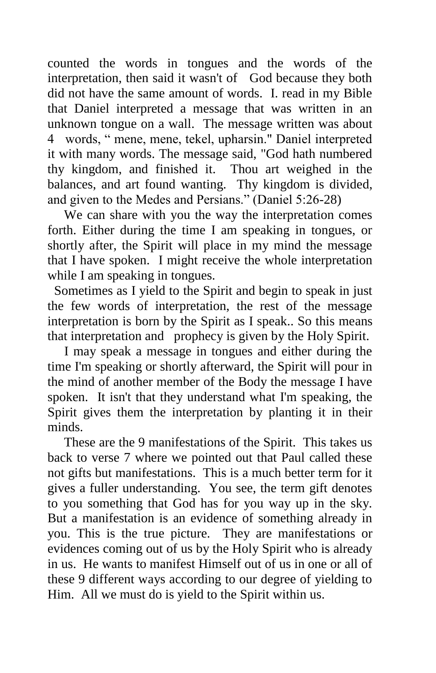counted the words in tongues and the words of the interpretation, then said it wasn't of God because they both did not have the same amount of words. I. read in my Bible that Daniel interpreted a message that was written in an unknown tongue on a wall. The message written was about 4 words, " mene, mene, tekel, upharsin." Daniel interpreted it with many words. The message said, "God hath numbered thy kingdom, and finished it. Thou art weighed in the balances, and art found wanting. Thy kingdom is divided, and given to the Medes and Persians." (Daniel 5:26-28)

 We can share with you the way the interpretation comes forth. Either during the time I am speaking in tongues, or shortly after, the Spirit will place in my mind the message that I have spoken. I might receive the whole interpretation while I am speaking in tongues.

 Sometimes as I yield to the Spirit and begin to speak in just the few words of interpretation, the rest of the message interpretation is born by the Spirit as I speak.. So this means that interpretation and prophecy is given by the Holy Spirit.

 I may speak a message in tongues and either during the time I'm speaking or shortly afterward, the Spirit will pour in the mind of another member of the Body the message I have spoken. It isn't that they understand what I'm speaking, the Spirit gives them the interpretation by planting it in their minds.

 These are the 9 manifestations of the Spirit. This takes us back to verse 7 where we pointed out that Paul called these not gifts but manifestations. This is a much better term for it gives a fuller understanding. You see, the term gift denotes to you something that God has for you way up in the sky. But a manifestation is an evidence of something already in you. This is the true picture. They are manifestations or evidences coming out of us by the Holy Spirit who is already in us. He wants to manifest Himself out of us in one or all of these 9 different ways according to our degree of yielding to Him. All we must do is yield to the Spirit within us.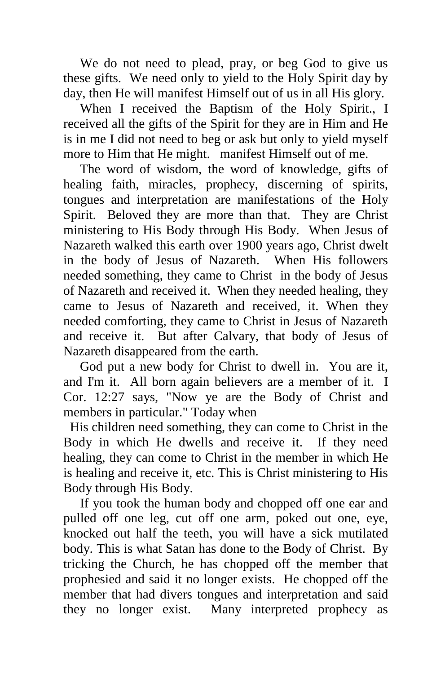We do not need to plead, pray, or beg God to give us these gifts. We need only to yield to the Holy Spirit day by day, then He will manifest Himself out of us in all His glory.

 When I received the Baptism of the Holy Spirit., I received all the gifts of the Spirit for they are in Him and He is in me I did not need to beg or ask but only to yield myself more to Him that He might. manifest Himself out of me.

 The word of wisdom, the word of knowledge, gifts of healing faith, miracles, prophecy, discerning of spirits, tongues and interpretation are manifestations of the Holy Spirit. Beloved they are more than that. They are Christ ministering to His Body through His Body. When Jesus of Nazareth walked this earth over 1900 years ago, Christ dwelt in the body of Jesus of Nazareth. When His followers needed something, they came to Christ in the body of Jesus of Nazareth and received it. When they needed healing, they came to Jesus of Nazareth and received, it. When they needed comforting, they came to Christ in Jesus of Nazareth and receive it. But after Calvary, that body of Jesus of Nazareth disappeared from the earth.

 God put a new body for Christ to dwell in. You are it, and I'm it. All born again believers are a member of it. I Cor. 12:27 says, "Now ye are the Body of Christ and members in particular." Today when

 His children need something, they can come to Christ in the Body in which He dwells and receive it. If they need healing, they can come to Christ in the member in which He is healing and receive it, etc. This is Christ ministering to His Body through His Body.

 If you took the human body and chopped off one ear and pulled off one leg, cut off one arm, poked out one, eye, knocked out half the teeth, you will have a sick mutilated body. This is what Satan has done to the Body of Christ. By tricking the Church, he has chopped off the member that prophesied and said it no longer exists. He chopped off the member that had divers tongues and interpretation and said they no longer exist. Many interpreted prophecy as